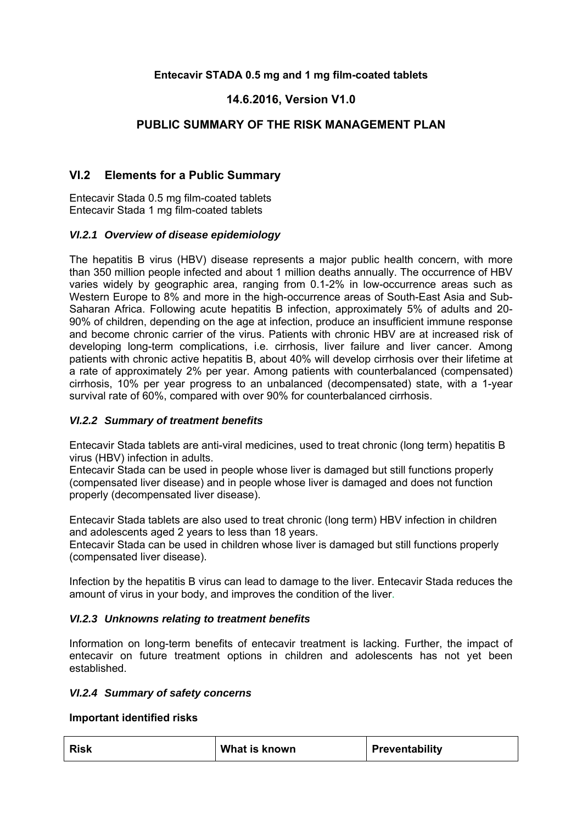### **Entecavir STADA 0.5 mg and 1 mg film-coated tablets**

## **14.6.2016, Version V1.0**

## **PUBLIC SUMMARY OF THE RISK MANAGEMENT PLAN**

## **VI.2 Elements for a Public Summary**

Entecavir Stada 0.5 mg film-coated tablets Entecavir Stada 1 mg film-coated tablets

### *VI.2.1 Overview of disease epidemiology*

The hepatitis B virus (HBV) disease represents a major public health concern, with more than 350 million people infected and about 1 million deaths annually. The occurrence of HBV varies widely by geographic area, ranging from 0.1-2% in low-occurrence areas such as Western Europe to 8% and more in the high-occurrence areas of South-East Asia and Sub-Saharan Africa. Following acute hepatitis B infection, approximately 5% of adults and 20- 90% of children, depending on the age at infection, produce an insufficient immune response and become chronic carrier of the virus. Patients with chronic HBV are at increased risk of developing long-term complications, i.e. cirrhosis, liver failure and liver cancer. Among patients with chronic active hepatitis B, about 40% will develop cirrhosis over their lifetime at a rate of approximately 2% per year. Among patients with counterbalanced (compensated) cirrhosis, 10% per year progress to an unbalanced (decompensated) state, with a 1-year survival rate of 60%, compared with over 90% for counterbalanced cirrhosis.

### *VI.2.2 Summary of treatment benefits*

Entecavir Stada tablets are anti-viral medicines, used to treat chronic (long term) hepatitis B virus (HBV) infection in adults.

Entecavir Stada can be used in people whose liver is damaged but still functions properly (compensated liver disease) and in people whose liver is damaged and does not function properly (decompensated liver disease).

Entecavir Stada tablets are also used to treat chronic (long term) HBV infection in children and adolescents aged 2 years to less than 18 years.

Entecavir Stada can be used in children whose liver is damaged but still functions properly (compensated liver disease).

Infection by the hepatitis B virus can lead to damage to the liver. Entecavir Stada reduces the amount of virus in your body, and improves the condition of the liver.

### *VI.2.3 Unknowns relating to treatment benefits*

Information on long-term benefits of entecavir treatment is lacking. Further, the impact of entecavir on future treatment options in children and adolescents has not yet been established.

#### *VI.2.4 Summary of safety concerns*

#### **Important identified risks**

| <b>Risk</b> | What is known | Preventability |
|-------------|---------------|----------------|
|             |               |                |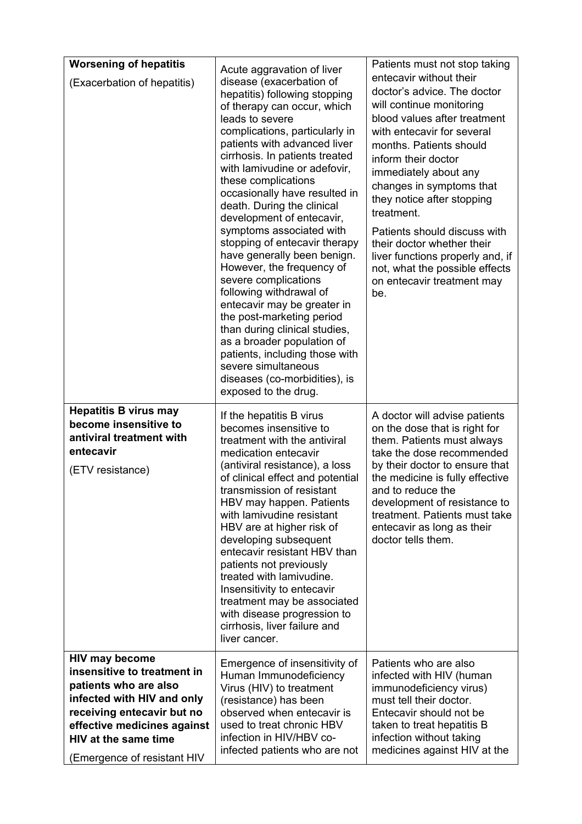| <b>Worsening of hepatitis</b>                                                                                                                                                                           | Acute aggravation of liver                                                                                                                                                                                                                                                                                                                                                                                                                                                                                                                                                                                                                                                                                                                                                                  | Patients must not stop taking                                                                                                                                                                                                                                                                                                                                                                                                                                                |
|---------------------------------------------------------------------------------------------------------------------------------------------------------------------------------------------------------|---------------------------------------------------------------------------------------------------------------------------------------------------------------------------------------------------------------------------------------------------------------------------------------------------------------------------------------------------------------------------------------------------------------------------------------------------------------------------------------------------------------------------------------------------------------------------------------------------------------------------------------------------------------------------------------------------------------------------------------------------------------------------------------------|------------------------------------------------------------------------------------------------------------------------------------------------------------------------------------------------------------------------------------------------------------------------------------------------------------------------------------------------------------------------------------------------------------------------------------------------------------------------------|
| (Exacerbation of hepatitis)                                                                                                                                                                             | disease (exacerbation of<br>hepatitis) following stopping<br>of therapy can occur, which<br>leads to severe<br>complications, particularly in<br>patients with advanced liver<br>cirrhosis. In patients treated<br>with lamivudine or adefovir,<br>these complications<br>occasionally have resulted in<br>death. During the clinical<br>development of entecavir,<br>symptoms associated with<br>stopping of entecavir therapy<br>have generally been benign.<br>However, the frequency of<br>severe complications<br>following withdrawal of<br>entecavir may be greater in<br>the post-marketing period<br>than during clinical studies,<br>as a broader population of<br>patients, including those with<br>severe simultaneous<br>diseases (co-morbidities), is<br>exposed to the drug. | entecavir without their<br>doctor's advice. The doctor<br>will continue monitoring<br>blood values after treatment<br>with entecavir for several<br>months. Patients should<br>inform their doctor<br>immediately about any<br>changes in symptoms that<br>they notice after stopping<br>treatment.<br>Patients should discuss with<br>their doctor whether their<br>liver functions properly and, if<br>not, what the possible effects<br>on entecavir treatment may<br>be. |
| <b>Hepatitis B virus may</b><br>become insensitive to<br>antiviral treatment with<br>entecavir<br>(ETV resistance)                                                                                      | If the hepatitis B virus<br>becomes insensitive to<br>treatment with the antiviral<br>medication entecavir<br>(antiviral resistance), a loss<br>of clinical effect and potential<br>transmission of resistant<br>HBV may happen. Patients<br>with lamivudine resistant<br>HBV are at higher risk of<br>developing subsequent<br>entecavir resistant HBV than<br>patients not previously<br>treated with lamivudine.<br>Insensitivity to entecavir<br>treatment may be associated<br>with disease progression to<br>cirrhosis, liver failure and<br>liver cancer.                                                                                                                                                                                                                            | A doctor will advise patients<br>on the dose that is right for<br>them. Patients must always<br>take the dose recommended<br>by their doctor to ensure that<br>the medicine is fully effective<br>and to reduce the<br>development of resistance to<br>treatment. Patients must take<br>entecavir as long as their<br>doctor tells them.                                                                                                                                     |
| <b>HIV may become</b><br>insensitive to treatment in<br>patients who are also<br>infected with HIV and only<br>receiving entecavir but no<br>effective medicines against<br><b>HIV at the same time</b> | Emergence of insensitivity of<br>Human Immunodeficiency<br>Virus (HIV) to treatment<br>(resistance) has been<br>observed when entecavir is<br>used to treat chronic HBV<br>infection in HIV/HBV co-                                                                                                                                                                                                                                                                                                                                                                                                                                                                                                                                                                                         | Patients who are also<br>infected with HIV (human<br>immunodeficiency virus)<br>must tell their doctor.<br>Entecavir should not be<br>taken to treat hepatitis B<br>infection without taking                                                                                                                                                                                                                                                                                 |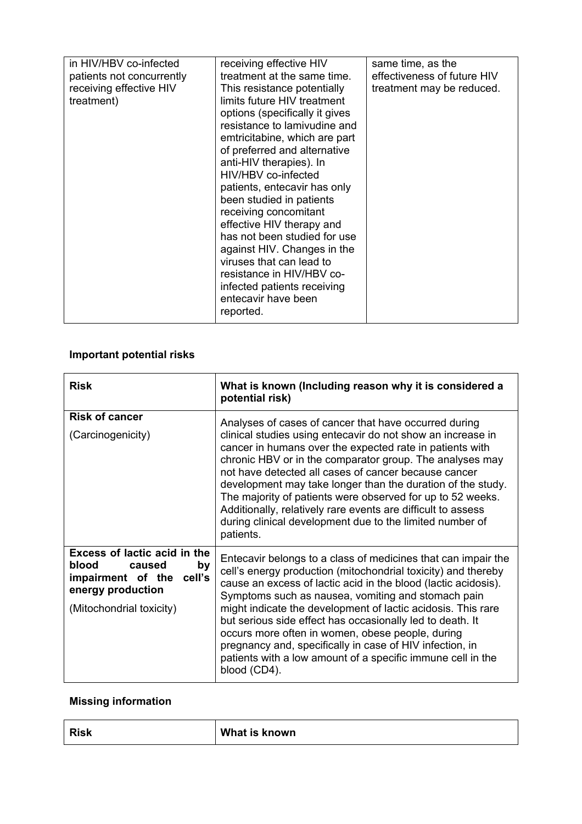| in HIV/HBV co-infected<br>patients not concurrently<br>receiving effective HIV<br>treatment) | receiving effective HIV<br>treatment at the same time.<br>This resistance potentially<br>limits future HIV treatment<br>options (specifically it gives<br>resistance to lamivudine and<br>emtricitabine, which are part<br>of preferred and alternative<br>anti-HIV therapies). In<br>HIV/HBV co-infected<br>patients, entecavir has only<br>been studied in patients<br>receiving concomitant<br>effective HIV therapy and<br>has not been studied for use<br>against HIV. Changes in the<br>viruses that can lead to<br>resistance in HIV/HBV co-<br>infected patients receiving<br>entecavir have been<br>reported. | same time, as the<br>effectiveness of future HIV<br>treatment may be reduced. |
|----------------------------------------------------------------------------------------------|------------------------------------------------------------------------------------------------------------------------------------------------------------------------------------------------------------------------------------------------------------------------------------------------------------------------------------------------------------------------------------------------------------------------------------------------------------------------------------------------------------------------------------------------------------------------------------------------------------------------|-------------------------------------------------------------------------------|

# **Important potential risks**

| <b>Risk</b>                                                                                                                                  | What is known (Including reason why it is considered a<br>potential risk)                                                                                                                                                                                                                                                                                                                                                                                                                                                                                                          |
|----------------------------------------------------------------------------------------------------------------------------------------------|------------------------------------------------------------------------------------------------------------------------------------------------------------------------------------------------------------------------------------------------------------------------------------------------------------------------------------------------------------------------------------------------------------------------------------------------------------------------------------------------------------------------------------------------------------------------------------|
| <b>Risk of cancer</b><br>(Carcinogenicity)                                                                                                   | Analyses of cases of cancer that have occurred during<br>clinical studies using entecavir do not show an increase in<br>cancer in humans over the expected rate in patients with<br>chronic HBV or in the comparator group. The analyses may<br>not have detected all cases of cancer because cancer<br>development may take longer than the duration of the study.<br>The majority of patients were observed for up to 52 weeks.<br>Additionally, relatively rare events are difficult to assess<br>during clinical development due to the limited number of<br>patients.         |
| <b>Excess of lactic acid in the</b><br>blood<br>caused<br>by<br>impairment of the<br>cell's<br>energy production<br>(Mitochondrial toxicity) | Entecavir belongs to a class of medicines that can impair the<br>cell's energy production (mitochondrial toxicity) and thereby<br>cause an excess of lactic acid in the blood (lactic acidosis).<br>Symptoms such as nausea, vomiting and stomach pain<br>might indicate the development of lactic acidosis. This rare<br>but serious side effect has occasionally led to death. It<br>occurs more often in women, obese people, during<br>pregnancy and, specifically in case of HIV infection, in<br>patients with a low amount of a specific immune cell in the<br>blood (CD4). |

# **Missing information**

| <b>Risk</b> | What is known |
|-------------|---------------|
|-------------|---------------|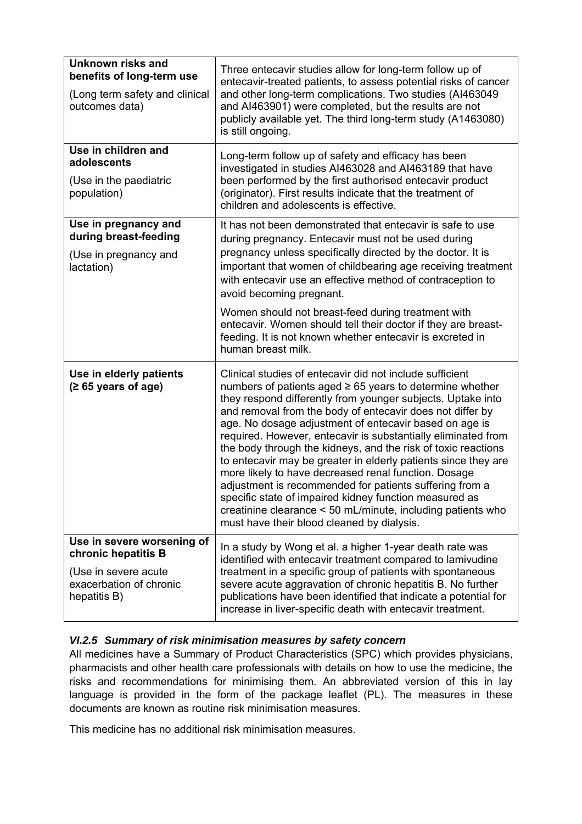| <b>Unknown risks and</b><br>benefits of long-term use<br>(Long term safety and clinical<br>outcomes data)            | Three entecavir studies allow for long-term follow up of<br>entecavir-treated patients, to assess potential risks of cancer<br>and other long-term complications. Two studies (Al463049<br>and AI463901) were completed, but the results are not<br>publicly available yet. The third long-term study (A1463080)<br>is still ongoing.                                                                                                                                                                                                                                                                                                                                                                                                                                                                         |
|----------------------------------------------------------------------------------------------------------------------|---------------------------------------------------------------------------------------------------------------------------------------------------------------------------------------------------------------------------------------------------------------------------------------------------------------------------------------------------------------------------------------------------------------------------------------------------------------------------------------------------------------------------------------------------------------------------------------------------------------------------------------------------------------------------------------------------------------------------------------------------------------------------------------------------------------|
| Use in children and<br>adolescents<br>(Use in the paediatric<br>population)                                          | Long-term follow up of safety and efficacy has been<br>investigated in studies AI463028 and AI463189 that have<br>been performed by the first authorised entecavir product<br>(originator). First results indicate that the treatment of<br>children and adolescents is effective.                                                                                                                                                                                                                                                                                                                                                                                                                                                                                                                            |
| Use in pregnancy and<br>during breast-feeding<br>(Use in pregnancy and<br>lactation)                                 | It has not been demonstrated that entecavir is safe to use<br>during pregnancy. Entecavir must not be used during<br>pregnancy unless specifically directed by the doctor. It is<br>important that women of childbearing age receiving treatment<br>with entecavir use an effective method of contraception to<br>avoid becoming pregnant.                                                                                                                                                                                                                                                                                                                                                                                                                                                                    |
|                                                                                                                      | Women should not breast-feed during treatment with<br>entecavir. Women should tell their doctor if they are breast-<br>feeding. It is not known whether entecavir is excreted in<br>human breast milk.                                                                                                                                                                                                                                                                                                                                                                                                                                                                                                                                                                                                        |
| Use in elderly patients<br>$(265 \text{ years of age})$                                                              | Clinical studies of entecavir did not include sufficient<br>numbers of patients aged $\geq 65$ years to determine whether<br>they respond differently from younger subjects. Uptake into<br>and removal from the body of entecavir does not differ by<br>age. No dosage adjustment of entecavir based on age is<br>required. However, entecavir is substantially eliminated from<br>the body through the kidneys, and the risk of toxic reactions<br>to entecavir may be greater in elderly patients since they are<br>more likely to have decreased renal function. Dosage<br>adjustment is recommended for patients suffering from a<br>specific state of impaired kidney function measured as<br>creatinine clearance < 50 mL/minute, including patients who<br>must have their blood cleaned by dialysis. |
| Use in severe worsening of<br>chronic hepatitis B<br>(Use in severe acute<br>exacerbation of chronic<br>hepatitis B) | In a study by Wong et al. a higher 1-year death rate was<br>identified with entecavir treatment compared to lamivudine<br>treatment in a specific group of patients with spontaneous<br>severe acute aggravation of chronic hepatitis B. No further<br>publications have been identified that indicate a potential for<br>increase in liver-specific death with entecavir treatment.                                                                                                                                                                                                                                                                                                                                                                                                                          |

## *VI.2.5 Summary of risk minimisation measures by safety concern*

All medicines have a Summary of Product Characteristics (SPC) which provides physicians, pharmacists and other health care professionals with details on how to use the medicine, the risks and recommendations for minimising them. An abbreviated version of this in lay language is provided in the form of the package leaflet (PL). The measures in these documents are known as routine risk minimisation measures.

This medicine has no additional risk minimisation measures.